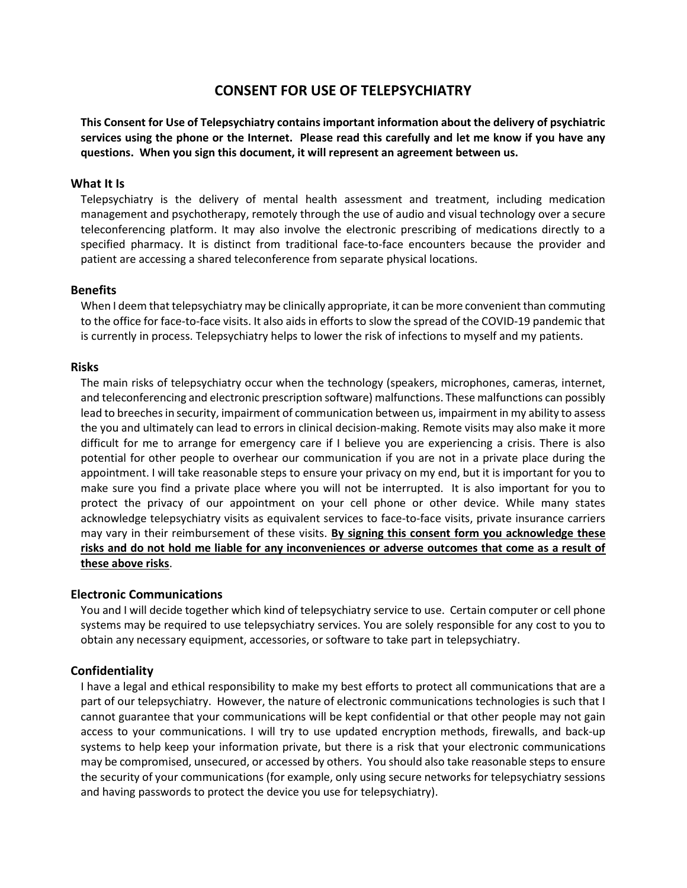# CONSENT FOR USE OF TELEPSYCHIATRY

This Consent for Use of Telepsychiatry contains important information about the delivery of psychiatric services using the phone or the Internet. Please read this carefully and let me know if you have any questions. When you sign this document, it will represent an agreement between us.

# What It Is

Telepsychiatry is the delivery of mental health assessment and treatment, including medication management and psychotherapy, remotely through the use of audio and visual technology over a secure teleconferencing platform. It may also involve the electronic prescribing of medications directly to a specified pharmacy. It is distinct from traditional face-to-face encounters because the provider and patient are accessing a shared teleconference from separate physical locations.

#### Benefits

When I deem that telepsychiatry may be clinically appropriate, it can be more convenient than commuting to the office for face-to-face visits. It also aids in efforts to slow the spread of the COVID-19 pandemic that is currently in process. Telepsychiatry helps to lower the risk of infections to myself and my patients.

#### Risks

The main risks of telepsychiatry occur when the technology (speakers, microphones, cameras, internet, and teleconferencing and electronic prescription software) malfunctions. These malfunctions can possibly lead to breeches in security, impairment of communication between us, impairment in my ability to assess the you and ultimately can lead to errors in clinical decision-making. Remote visits may also make it more difficult for me to arrange for emergency care if I believe you are experiencing a crisis. There is also potential for other people to overhear our communication if you are not in a private place during the appointment. I will take reasonable steps to ensure your privacy on my end, but it is important for you to make sure you find a private place where you will not be interrupted. It is also important for you to protect the privacy of our appointment on your cell phone or other device. While many states acknowledge telepsychiatry visits as equivalent services to face-to-face visits, private insurance carriers may vary in their reimbursement of these visits. By signing this consent form you acknowledge these risks and do not hold me liable for any inconveniences or adverse outcomes that come as a result of these above risks.

#### Electronic Communications

You and I will decide together which kind of telepsychiatry service to use. Certain computer or cell phone systems may be required to use telepsychiatry services. You are solely responsible for any cost to you to obtain any necessary equipment, accessories, or software to take part in telepsychiatry.

#### **Confidentiality**

I have a legal and ethical responsibility to make my best efforts to protect all communications that are a part of our telepsychiatry. However, the nature of electronic communications technologies is such that I cannot guarantee that your communications will be kept confidential or that other people may not gain access to your communications. I will try to use updated encryption methods, firewalls, and back-up systems to help keep your information private, but there is a risk that your electronic communications may be compromised, unsecured, or accessed by others. You should also take reasonable steps to ensure the security of your communications (for example, only using secure networks for telepsychiatry sessions and having passwords to protect the device you use for telepsychiatry).